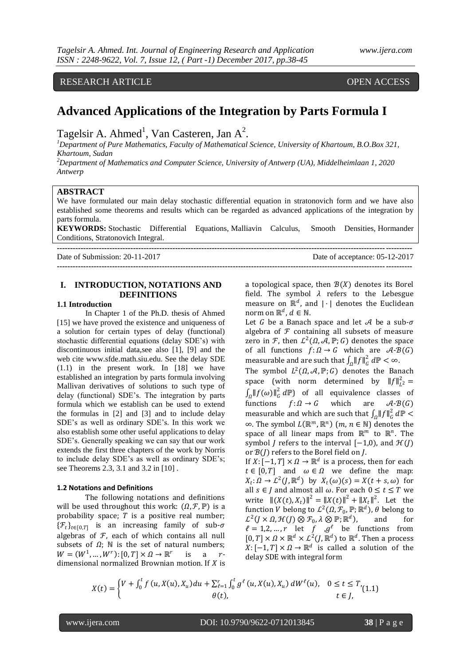RESEARCH ARTICLE OPEN ACCESS

# **Advanced Applications of the Integration by Parts Formula I**

Tagelsir A. Ahmed<sup>1</sup>, Van Casteren, Jan  $A^2$ .

*<sup>1</sup>Department of Pure Mathematics, Faculty of Mathematical Science, University of Khartoum, B.O.Box 321, Khartoum, Sudan*

*<sup>2</sup>Department of Mathematics and Computer Science, University of Antwerp (UA), Middelheimlaan 1, 2020 Antwerp*

### **ABSTRACT**

We have formulated our main delay stochastic differential equation in stratonovich form and we have also established some theorems and results which can be regarded as advanced applications of the integration by parts formula.

**KEYWORDS:** Stochastic Differential Equations, Malliavin Calculus, Smooth Densities, Hormander Conditions, Stratonovich Integral.

**---------------------------------------------------------------------------------------------------------------------------------------**

Date of Submission: 20-11-2017 Date of acceptance: 05-12-2017

## **I. INTRODUCTION, NOTATIONS AND DEFINITIONS**

**---------------------------------------------------------------------------------------------------------------------------------------**

#### **1.1 Introduction**

In Chapter 1 of the Ph.D. thesis of Ahmed [15] we have proved the existence and uniqueness of a solution for certain types of delay (functional) stochastic differential equations (delay SDE's) with discontinuous initial data,see also [1], [9] and the web cite www.sfde.math.siu.edu. See the delay SDE (1.1) in the present work. In [18] we have established an integration by parts formula involving Mallivan derivatives of solutions to such type of delay (functional) SDE's. The integration by parts formula which we establish can be used to extend the formulas in [2] and [3] and to include delay SDE's as well as ordinary SDE's. In this work we also establish some other useful applications to delay SDE's. Generally speaking we can say that our work extends the first three chapters of the work by Norris to include delay SDE's as well as ordinary SDE's; see Theorems 2.3, 3.1 and 3.2 in [10] .

#### **1.2 Notations and Definitions**

The following notations and definitions will be used throughout this work:  $(\Omega, \mathcal{F}, \mathbb{P})$  is a probability space;  $T$  is a positive real number;  $\{\mathcal{F}_t\}_{t\in[0,T]}$  is an increasing family of sub- $\sigma$ algebras of  $F$ , each of which contains all null subsets of  $\Omega$ ; N is the set of natural numbers;  $W = (W^1, \dots, W^r): [0, T] \times \Omega \rightarrow \mathbb{R}^r$ is  $a \rightharpoonup r$ dimensional normalized Brownian motion. If  $X$  is a topological space, then  $B(X)$  denotes its Borel field. The symbol  $\lambda$  refers to the Lebesgue measure on  $\mathbb{R}^d$ , and |  $\cdot$ | denotes the Euclidean norm on  $\mathbb{R}^d$  ,  $d \in \mathbb{N}$ .

Let G be a Banach space and let A be a sub- $\sigma$ algebra of  $F$  containing all subsets of measure zero in F, then  $\mathcal{L}^2(\Omega, \mathcal{A}, \mathbb{P}; G)$  denotes the space of all functions  $f: \Omega \to G$  which are  $\mathcal{A}$ - $\mathcal{B}(G)$ measurable and are such that  $\int_{\Omega} ||f||_{G}^{2}$  $\int_{\Omega}$ ||f|| $\int_{G}^{2} d\mathbb{P} < \infty$ . The symbol  $L^2(\Omega, \mathcal{A}, \mathbb{P}; G)$  denotes the Banach space (with norm determined by  $||f||_{L^2}^2 =$  $\int_{\Omega}$ || $f(\omega)$ || $_{G}^{2}$ 2  $\int_{\Omega} ||f(\omega)||_G^2 d\mathbb{P}$  of all equivalence classes of functions  $f: \Omega \to G$  which are  $A - B(G)$ measurable and which are such that  $\int_{\Omega} ||f||_{G}^{2}$  $\int_{\Omega}$ ||f|| $_G^2$  d $\mathbb{P}$  <  $\infty$ . The symbol  $L(\mathbb{R}^m, \mathbb{R}^n)$   $(m, n \in \mathbb{N})$  denotes the space of all linear maps from  $\mathbb{R}^m$  to  $\mathbb{R}^n$ . The symbol *J* refers to the interval  $[-1,0)$ , and  $\mathcal{H}(J)$ or  $\mathcal{B}(J)$  refers to the Borel field on  $J$ .

If  $X: [-1, T] \times \Omega \rightarrow \mathbb{R}^d$  is a process, then for each  $t \in [0, T]$  and  $\omega \in \Omega$  we define the map:  $X_t: \Omega \to L^2(J, \mathbb{R}^d)$  by  $X_t(\omega)(s) = X(t + s, \omega)$  for all  $s \in J$  and almost all  $\omega$ . For each  $0 \le t \le T$  we write  $||(X(t), X_t)||^2 = ||X(t)||^2 + ||X_t||^2$ . Let the function *V* belong to  $\mathcal{L}^2(\Omega, \mathcal{F}_0, \mathbb{P}; \mathbb{R}^d)$ ,  $\theta$  belong to  $\mathcal{L}^2(J\times\Omega,\mathcal{H}(J)\otimes\mathcal{F}_0$  ,  $\lambda\otimes\mathbb{P};\mathbb{R}^d$  , and for  $l = 1, 2, ..., r$  let f  $, g<sup>l</sup>$  be functions from  $[0, T] \times \Omega \times \mathbb{R}^d \times L^2(J, \mathbb{R}^d)$  to  $\mathbb{R}^d$ . Then a process  $X: [-1, T] \times \Omega \rightarrow \mathbb{R}^d$  is called a solution of the delay SDE with integral form

$$
X(t) = \begin{cases} V + \int_0^t f(u, X(u), X_u) du + \sum_{\ell=1}^r \int_0^t g^{\ell}(u, X(u), X_u) dW^{\ell}(u), & 0 \le t \le T, \\ \theta(t), & t \in J, \end{cases}
$$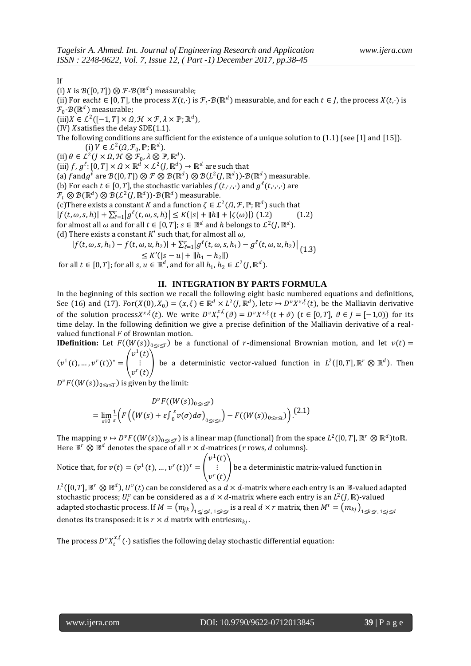If

(i) *X* is  $\mathcal{B}([0, T]) \otimes \mathcal{F}\text{-}\mathcal{B}(\mathbb{R}^d)$  measurable;

(ii) For each $t \in [0,T]$ , the process  $X(t,\cdot)$  is  $\mathcal{F}_t$ - $\mathcal{B}(\mathbb{R}^d)$  measurable, and for each  $t \in J$ , the process  $X(t,\cdot)$  is  $\mathcal{F}_0\text{-}\mathcal{B}(\mathbb{R}^d)$  measurable;

 $(iii) X \in \mathcal{L}^2([-1,T] \times \Omega, \mathcal{H} \times \mathcal{F}, \lambda \times \mathbb{P}; \mathbb{R}^d),$ 

(IV) *X* satisfies the delay  $SDE(1.1)$ .

- The following conditions are sufficient for the existence of a unique solution to  $(1.1)$  (see [1] and [15]). (i)  $V \in L^2(\Omega, \mathcal{F}_0, \mathbb{P}; \mathbb{R}^d)$ .
- (ii)  $\theta \in L^2(J \times \Omega, \mathcal{H} \otimes \mathcal{F}_0, \lambda \otimes \mathbb{P}, \mathbb{R}^d)$ .
- (iii)  $f, g^{\ell}: [0, T] \times \Omega \times \mathbb{R}^d \times \mathcal{L}^2(J, \mathbb{R}^d) \to \mathbb{R}^d$  are such that

(a) f and  $g^{\ell}$  are  $\mathcal{B}([0,T])\otimes \mathcal{F}\otimes \mathcal{B}(\mathbb{R}^d)\otimes \mathcal{B}(L^2(J,\mathbb{R}^d))$ - $\mathcal{B}(\mathbb{R}^d)$  measurable.

(b) For each  $t \in [0, T]$ , the stochastic variables  $f(t, \cdot, \cdot, \cdot)$  and  $g^{\ell}(t, \cdot, \cdot, \cdot)$  are

 $\mathcal{F}_t\otimes \mathcal{B}(\mathbb{R}^d) \otimes \mathcal{B}(\mathcal{L}^2(J,\mathbb{R}^d))\text{-}\mathcal{B}(\mathbb{R}^d)$  measurable.

(c) There exists a constant K and a function  $\zeta \in \mathcal{L}^2(\Omega, \mathcal{F}, \mathbb{P}; \mathbb{R}^d)$  such that

 $|f(t, \omega, s, h)| + \sum_{\ell=1}^r |g^{\ell}(t, \omega, s, h)| \leq K(|s| + ||h|| + |\zeta(\omega)|)$  (1.2) (1.2)

for almost all  $\omega$  and for all  $t \in [0,T]$ ;  $s \in \mathbb{R}^d$  and  $h$  belongs to  $\mathcal{L}^2(J,\mathbb{R}^d)$ .

(d) There exists a constant  $K'$  such that, for almost all  $\omega$ ,

 $|f(t, \omega, s, h_1) - f(t, \omega, u, h_2)| + \sum_{\ell=1}^r |g^{\ell}(t, \omega, s, h_1) - g^{\ell}(t, \omega, u, h_2)|$  $\leq K'(|s-u| + ||h_1 - h_2||)$  (c)  $\approx$   $\approx$   $(0, \infty)$   $\approx$   $(0, \infty)$   $\approx$   $(1.3)$ for all  $t \in [0, T]$ ; for all  $s, u \in \mathbb{R}^d$ , and for all  $h_1, h_2 \in L^2(J, \mathbb{R}^d)$ .

#### **II. INTEGRATION BY PARTS FORMULA**

In the beginning of this section we recall the following eight basic numbered equations and definitions, See (16) and (17). For( $X(0), X_0$ ) = ( $x, \xi$ )  $\in \mathbb{R}^d \times L^2(J, \mathbb{R}^d)$ , let $v \mapsto D^v X^{x,\xi}(t)$ , be the Malliavin derivative of the solution process  $X^{x,\xi}(t)$ . We write  $D^{\nu} X^{x,\xi}_{t}(\vartheta) = D^{\nu} X^{x,\xi}(t+\vartheta)$   $(t \in [0,T], \vartheta \in J = [-1,0))$  for its time delay. In the following definition we give a precise definition of the Malliavin derivative of a realvalued functional  $F$  of Brownian motion.

**IDefinition:** Let  $F((W(s))_{0\leq s\leq T})$  be a functional of r-dimensional Brownian motion, and let  $v(t)$  $(v^{1}(t),...,v^{r}(t))^{*} =$  $v^1(t)$ ⋮  $v^r(t)$ be a deterministic vector-valued function in  $L^2([0,T], \mathbb{R}^r \otimes \mathbb{R}^d)$ . Then

 $D^v F((W(s))_{0 \le s \le T})$  is given by the limit:

$$
D^v F((W(s))_{0 \le s \le T})
$$
  
= 
$$
\lim_{\varepsilon \downarrow 0} \frac{1}{\varepsilon} \Big( F\Big( \big(W(s) + \varepsilon \int_0^s v(\sigma) d\sigma \Big)_{0 \le s \le s} \Big) - F\big( (W(s))_{0 \le s \le t} \big) \Big).
$$
 (2.1)

The mapping  $v \mapsto D^v F((W(s))_{0 \le s \le T})$  is a linear map (functional) from the space  $L^2([0,T], \mathbb{R}^r \otimes \mathbb{R}^d)$ to $\mathbb{R}$ . Here  $\mathbb{R}^r \otimes \mathbb{R}^d$  denotes the space of all  $r \times d$ -matrices (*r* rows, *d* columns).

Notice that, for  $v(t) = (v^1(t), ..., v^r(t))^{\tau} =$  $v^1(t)$ ⋮  $v^r(t)$ be a deterministic matrix-valued function in

 $L^2([0,T],\mathbb{R}^r\otimes\mathbb{R}^d)$ ,  $U^v(t)$  can be considered as a  $d\times d$ -matrix where each entry is an  $\mathbb{R}$ -valued adapted stochastic process;  $U_t^v$  can be considered as a  $d \times d$ -matrix where each entry is an  $L^2(J,\mathbb{R})$ -valued adapted stochastic process. If  $M=(m_{jk})_{1\leq j\leq d,\ 1\leq k\leq r}$  is a real  $d\times r$  matrix, then  $M^\tau=(m_{kj})_{1\leq k\leq r,\ 1\leq j\leq d}$ denotes its transposed: it is  $r \times d$  matrix with entries $m_{kj}$ .

The process  $D^v X_t^{x,\xi}(\cdot)$  satisfies the following delay stochastic differential equation: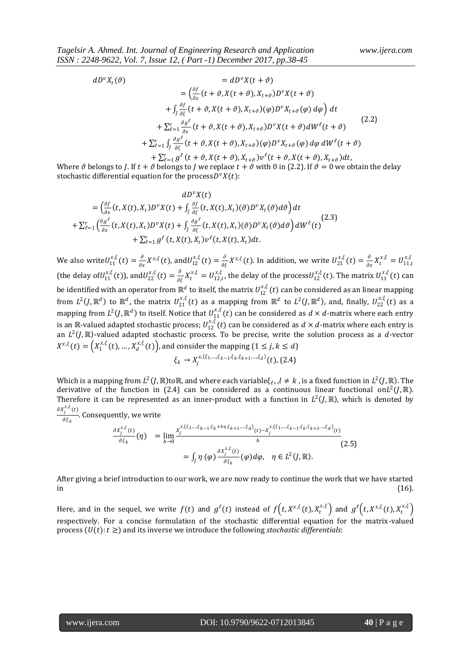$$
dD^{v}X_{t}(\vartheta) = dD^{v}X(t+\vartheta)
$$
  
\n
$$
= \left(\frac{\partial f}{\partial x}(t+\vartheta,X(t+\vartheta),X_{t+\vartheta})D^{v}X(t+\vartheta)\right)
$$
  
\n
$$
+ \int_{J}\frac{\partial f}{\partial\xi}(t+\vartheta,X(t+\vartheta),X_{t+\vartheta})(\varphi)D^{v}X_{t+\vartheta}(\varphi) d\varphi\right) dt
$$
  
\n
$$
+ \sum_{\ell=1}^{r} \frac{\partial g^{\ell}}{\partial x}(t+\vartheta,X(t+\vartheta),X_{t+\vartheta})D^{v}X(t+\vartheta)dW^{\ell}(t+\vartheta)
$$
  
\n
$$
+ \sum_{\ell=1}^{r} \int_{J}\frac{\partial g^{\ell}}{\partial\xi}(t+\vartheta,X(t+\vartheta),X_{t+\vartheta})(\varphi)D^{v}X_{t+\vartheta}(\varphi) d\varphi dW^{\ell}(t+\vartheta)
$$
  
\n
$$
+ \sum_{\ell=1}^{r} g^{\ell}(t+\vartheta,X(t+\vartheta),X_{t+\vartheta})v^{\ell}(t+\vartheta,X(t+\vartheta),X_{t+\vartheta})dt,
$$
\n(2.2)

Where  $\vartheta$  belongs to *J*. If  $t + \vartheta$  belongs to *J* we replace  $t + \vartheta$  with 0 in (2.2). If  $\vartheta = 0$  we obtain the delay stochastic differential equation for the process $D^vX(t)$ :

$$
dD^{v}X(t)
$$
\n
$$
= \left(\frac{\partial f}{\partial x}(t, X(t), X_t)D^{v}X(t) + \int_{J} \frac{\partial f}{\partial \xi}(t, X(t), X_t)(\vartheta)D^{v}X_t(\vartheta)d\vartheta\right)dt
$$
\n
$$
+ \sum_{\ell=1}^{r} \left(\frac{\partial g^{\ell}}{\partial x}(t, X(t), X_t)D^{v}X(t) + \int_{J} \frac{\partial g^{\ell}}{\partial \xi}(t, X(t), X_t)(\vartheta)D^{v}X_t(\vartheta)d\vartheta\right)dW^{\ell}(t)
$$
\n
$$
+ \sum_{\ell=1}^{r} g^{\ell}(t, X(t), X_t)v^{\ell}(t, X(t), X_t)dt.
$$
\n(2.3)

We also write  $U_{11}^{x,\xi}(t) = \frac{\partial}{\partial x}$  $\frac{\partial}{\partial x}X^{x,\xi}(t)$ , and  $U_{12}^{x,\xi}(t) = \frac{\partial}{\partial \xi}$  $\frac{\partial}{\partial \xi} X^{x,\xi}(t)$ . In addition, we write  $U_{21}^{x,\xi}(t) = \frac{\partial}{\partial z}$  $\frac{\partial}{\partial x}X_t^{x,\xi}=U_{11,t}^{x,\xi}$ (the delay of  $U_{11}^{x,\xi}(t)$ ), and  $U_{22}^{x,\xi}(t) = \frac{\partial}{\partial t}$  $\frac{\partial}{\partial \xi} X_t^{x,\xi} = U_{12,t}^{x,\xi}$ , the delay of the process $U_{12}^{x,\xi}(t)$ . The matrix  $U_{11}^{x,\xi}(t)$  can be identified with an operator from  $\mathbb{R}^d$  to itself, the matrix  $U_{12}^{x,\xi}(t)$  can be considered as an linear mapping from  $L^2(J,\mathbb{R}^d)$  to  $\mathbb{R}^d$ , the matrix  $U_{21}^{x,\xi}(t)$  as a mapping from  $\mathbb{R}^d$  to  $L^2(J,\mathbb{R}^d)$ , and, finally,  $U_{22}^{x,\xi}(t)$  as a mapping from  $L^2(J,\mathbb{R}^d)$  to itself. Notice that  $U_{11}^{x,\xi}(t)$  can be considered as  $d\times d$ -matrix where each entry is an ℝ-valued adapted stochastic process;  $U_{12}^{x,\xi}(t)$  can be considered as  $d \times d$ -matrix where each entry is an  $L^2(J,\mathbb{R})$ -valued adapted stochastic process. To be precise, write the solution process as a d-vector  $X^{x,\xi}(t)=\left(X_{1}^{x,\xi}(t),...,X_{d}^{x,\xi}(t)\right)$ , and consider the mapping  $(1\leq j,k\leq d)$  $\xi_k \to X_j^{x,(\xi_1,\dots,\xi_{k-1},\xi_k,\xi_{k+1},\dots,\xi_d)}(t)$ , (2.4)

Which is a mapping from  $L^2(I,\mathbb{R})$  to $\mathbb{R}$ , and where each variable $\xi_\ell$ , ,  $l \neq k$ , is a fixed function in  $L^2(I,\mathbb{R})$ . The derivative of the function in (2.4) can be considered as a continuous linear functional on $L^2(J,\mathbb{R})$ . Therefore it can be represented as an inner-product with a function in  $L^2(J,\mathbb{R})$ , which is denoted by  $\partial X_j^{x,\xi}(t)$  $\frac{1}{\partial \xi_k}$ . Consequently, we write

$$
\frac{\partial x_j^{x,\xi}(t)}{\partial \xi_k}(\eta) = \lim_{h \to 0} \frac{x_j^{x,(\xi_1,\dots,\xi_{k-1},\xi_k + h\eta,\xi_{k+1},\dots,\xi_d)}(t) - x_j^{x,(\xi_1,\dots,\xi_{k-1},\xi_k,\xi_{k+1},\dots,\xi_d)}(t)}{h}
$$
\n
$$
= \int_J \eta(\varphi) \frac{\partial x_j^{x,\xi}(t)}{\partial \xi_k}(\varphi) d\varphi, \quad \eta \in L^2(J, \mathbb{R}).
$$
\n(2.5)

After giving a brief introduction to our work, we are now ready to continue the work that we have started in  $(16)$ .

Here, and in the sequel, we write  $f(t)$  and  $g^\ell(t)$  instead of  $f\Big(t,X^{x,\xi}(t),X^{x,\xi}_t\Big)$  and  $g^\ell\Big(t,X^{x,\xi}(t),X^{x,\xi}_t\Big)$ respectively. For a concise formulation of the stochastic differential equation for the matrix-valued process  $(U(t): t \geq)$  and its inverse we introduce the following *stochastic differentials*: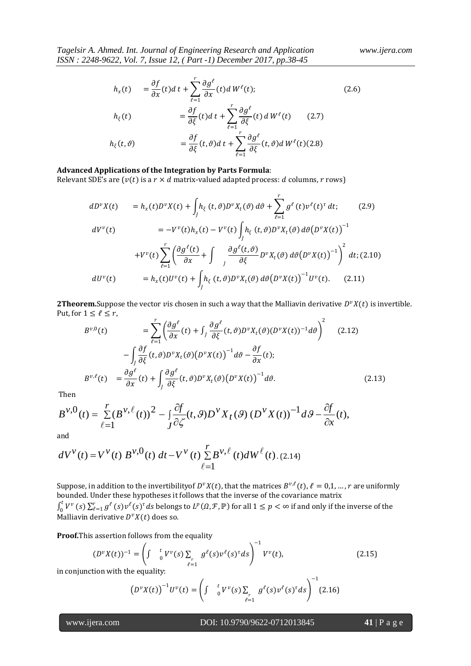$$
h_x(t) = \frac{\partial f}{\partial x}(t)dt + \sum_{\ell=1}^r \frac{\partial g^{\ell}}{\partial x}(t) dW^{\ell}(t);
$$
\n
$$
h_{\xi}(t) = \frac{\partial f}{\partial \xi}(t)dt + \sum_{\ell=1}^r \frac{\partial g^{\ell}}{\partial \xi}(t) dW^{\ell}(t)
$$
\n
$$
h_{\xi}(t, \vartheta) = \frac{\partial f}{\partial \xi}(t, \vartheta)dt + \sum_{\ell=1}^r \frac{\partial g^{\ell}}{\partial \xi}(t, \vartheta) dW^{\ell}(t)
$$
\n(2.7)\n
$$
(2.6)
$$

# **Advanced Applications of the Integration by Parts Formula**:

Relevant SDE's are  $(v(t))$  is a  $r \times d$  matrix-valued adapted process: d columns, r rows)

$$
dD^{\nu}X(t) = h_x(t)D^{\nu}X(t) + \int_J h_{\xi}(t,\vartheta)D^{\nu}X_t(\vartheta) d\vartheta + \sum_{\ell=1}^r g^{\ell}(t)\nu^{\ell}(t)^{\tau} dt; \qquad (2.9)
$$
  
\n
$$
dV^{\nu}(t) = -V^{\nu}(t)h_x(t) - V^{\nu}(t)\int_J h_{\xi}(t,\vartheta)D^{\nu}X_t(\vartheta) d\vartheta (D^{\nu}X(t))^{-1}
$$
  
\n
$$
+V^{\nu}(t)\sum_{\ell=1}^r \left(\frac{\partial g^{\ell}(t)}{\partial x} + \int_J \frac{\partial g^{\ell}(t,\vartheta)}{\partial \xi} D^{\nu}X_t(\vartheta) d\vartheta (D^{\nu}X(t))^{-1}\right)^2 dt; (2.10)
$$
  
\n
$$
dU^{\nu}(t) = h_x(t)U^{\nu}(t) + \int_J h_{\xi}(t,\vartheta)D^{\nu}X_t(\vartheta) d\vartheta (D^{\nu}X(t))^{-1}U^{\nu}(t). \qquad (2.11)
$$

**2Theorem.**Suppose the vector vis chosen in such a way that the Malliavin derivative  $D^v X(t)$  is invertible. Put, for  $1 \leq \ell \leq r$ ,

$$
B^{\nu,0}(t) = \sum_{\ell=1}^{r} \left( \frac{\partial g^{\ell}}{\partial x}(t) + \int_{J} \frac{\partial g^{\ell}}{\partial \xi}(t, \vartheta) D^{\nu} X_{t}(\vartheta) (D^{\nu} X(t))^{-1} d\vartheta \right)^{2} \quad (2.12)
$$

$$
- \int_{J} \frac{\partial f}{\partial \xi}(t, \vartheta) D^{\nu} X_{t}(\vartheta) (D^{\nu} X(t))^{-1} d\vartheta - \frac{\partial f}{\partial x}(t);
$$

$$
B^{\nu,\ell}(t) = \frac{\partial g^{\ell}}{\partial x}(t) + \int_{J} \frac{\partial g^{\ell}}{\partial \xi}(t, \vartheta) D^{\nu} X_{t}(\vartheta) (D^{\nu} X(t))^{-1} d\vartheta. \quad (2.13)
$$

Then

$$
B^{\nu,0}(t) = \sum_{\ell=1}^r (B^{\nu,\ell}(t))^2 - \int\limits_J \frac{\partial f}{\partial \zeta}(t,\mathcal{G}) D^{\nu} X_t(\mathcal{G}) (D^{\nu} X(t))^{-1} d\mathcal{G} - \frac{\partial f}{\partial x}(t),
$$

and

and  
\n
$$
dV^{V}(t) = V^{V}(t) B^{V,0}(t) dt - V^{V}(t) \sum_{\ell=1}^{r} B^{V,\ell}(t) dW^{\ell}(t)
$$
 (2.14)

Suppose, in addition to the invertibilityof  $D^vX(t)$ , that the matrices  $B^{v,\ell}(t)$ ,  $\ell = 0,1,...,r$  are uniformly bounded. Under these hypotheses it follows that the inverse of the covariance matrix  $\int_0^t V^v$  $\int_0^t V^{\nu}(s) \sum_{\ell=1}^r g^{\ell}(s) \nu^{\ell}(s)^{\tau} ds$  belongs to  $L^p(\Omega, \mathcal{F}, \mathbb{P})$  for all  $1 \leq p < \infty$  if and only if the inverse of the Malliavin derivative  $D^{\nu}X(t)$  does so.

**Proof.**This assertion follows from the equality

$$
(D^{\nu}X(t))^{-1} = \left(\int \int_{\ell=1}^t V^{\nu}(s) \sum_{\ell=1}^t g^{\ell}(s) \nu^{\ell}(s)^{\tau} ds\right)^{-1} V^{\nu}(t), \tag{2.15}
$$

in conjunction with the equality:

$$
(D^{\nu}X(t))^{-1}U^{\nu}(t) = \left(\int \int_0^t V^{\nu}(s)\sum_{\ell=1}^r g^{\ell}(s)\nu^{\ell}(s)^{\tau}ds\right)^{-1}
$$
(2.16)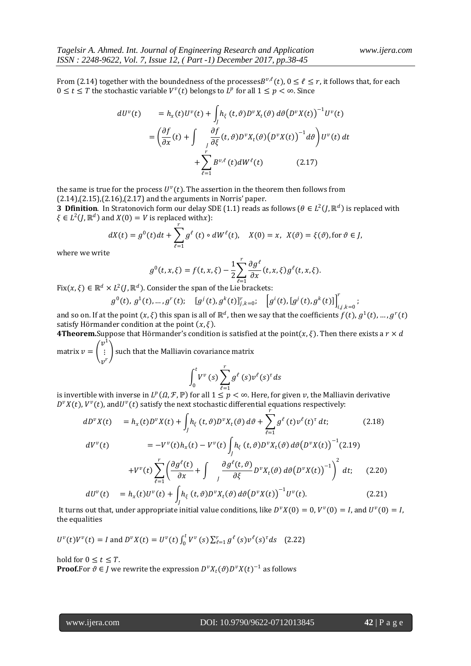$$
dU^{\nu}(t) = h_x(t)U^{\nu}(t) + \int_J h_{\xi}(t,\vartheta)D^{\nu}X_t(\vartheta) d\vartheta(D^{\nu}X(t))^{-1}U^{\nu}(t)
$$
  

$$
= \left(\frac{\partial f}{\partial x}(t) + \int_{J} \frac{\partial f}{\partial \xi}(t,\vartheta)D^{\nu}X_t(\vartheta)\left(D^{\nu}X(t)\right)^{-1}d\vartheta\right)U^{\nu}(t) dt
$$
  

$$
+ \sum_{\ell=1}^r B^{\nu,\ell}(t)dW^{\ell}(t) \qquad (2.17)
$$

the same is true for the process  $U^{\nu}(t)$ . The assertion in the theorem then follows from (2.14),(2.15),(2.16),(2.17) and the arguments in Norris' paper.

**3 Dfinition**. In Stratonovich form our delay SDE (1.1) reads as follows ( $\theta \in L^2(J, \mathbb{R}^d)$  is replaced with  $\xi \in L^2(J, \mathbb{R}^d)$  and  $X(0) = V$  is replaced withx):

$$
dX(t) = g^{0}(t)dt + \sum_{\ell=1}^{r} g^{\ell}(t) \circ dW^{\ell}(t), \quad X(0) = x, \ X(\vartheta) = \xi(\vartheta), \text{for } \vartheta \in J,
$$

where we write

$$
g^{0}(t,x,\xi)=f(t,x,\xi)-\frac{1}{2}\sum_{\ell=1}^{r}\frac{\partial g^{\ell}}{\partial x}(t,x,\xi)g^{\ell}(t,x,\xi).
$$

Fix(x,  $\xi$ )  $\in \mathbb{R}^d \times L^2(J, \mathbb{R}^d)$ . Consider the span of the Lie brackets:

$$
g^{0}(t), g^{1}(t), ..., g^{r}(t); \quad [g^{j}(t), g^{k}(t)]_{j,k=0}^{r}; \quad [g^{i}(t), [g^{j}(t), g^{k}(t)]]_{i,j,k=0}^{r};
$$

and so on. If at the point  $(x,\xi)$  this span is all of  $\R^d$ , then we say that the coefficients  $f(t)$ ,  $g^1(t)$ , …,  $g^r(t)$ satisfy Hörmander condition at the point  $(x, \xi)$ .

**4Theorem.**Suppose that Hörmander's condition is satisfied at the point $(x, \xi)$ . Then there exists a  $r \times d$  $v^1$ 

matrix  $v =$  | ፧<br>,r  $\mathcal{V}$  such that the Malliavin covariance matrix r

$$
\int_0^t V^{\nu}(s) \sum_{\ell=1}^r g^{\ell}(s) \nu^{\ell}(s)^{\tau} ds
$$

is invertible with inverse in  $L^p(\Omega, \mathcal{F}, \mathbb{P})$  for all  $1 \leq p < \infty$ . Here, for given  $v$ , the Malliavin derivative  $D^{\nu}X(t)$ ,  $V^{\nu}(t)$ , and $U^{\nu}(t)$  satisfy the next stochastic differential equations respectively: r

$$
dD^{v}X(t) = h_{x}(t)D^{v}X(t) + \int_{J} h_{\xi}(t,\vartheta)D^{v}X_{t}(\vartheta) d\vartheta + \sum_{\ell=1} g^{\ell}(t)v^{\ell}(t)^{\tau} dt; \qquad (2.18)
$$
  
\n
$$
dV^{v}(t) = -V^{v}(t)h_{x}(t) - V^{v}(t)\int_{J} h_{\xi}(t,\vartheta)D^{v}X_{t}(\vartheta) d\vartheta(D^{v}X(t))^{-1}(2.19)
$$
  
\n
$$
+V^{v}(t)\sum_{\ell=1}^{r} \left(\frac{\partial g^{\ell}(t)}{\partial x} + \int_{J} \frac{\partial g^{\ell}(t,\vartheta)}{\partial \xi}D^{v}X_{t}(\vartheta) d\vartheta(D^{v}X(t))^{-1}\right)^{2} dt; \qquad (2.20)
$$

$$
dU^{\nu}(t) = h_x(t)U^{\nu}(t) + \int h_{\xi}(t,\vartheta)D^{\nu}X_t(\vartheta) d\vartheta(D^{\nu}X(t))^{-1}U^{\nu}(t).
$$
 (2.21)

J It turns out that, under appropriate initial value conditions, like  $D^{\nu}X(0) = 0$ ,  $V^{\nu}(0) = I$ , and  $U^{\nu}(0) = I$ , the equalities

$$
U^{\nu}(t)V^{\nu}(t) = I \text{ and } D^{\nu}X(t) = U^{\nu}(t)\int_0^t V^{\nu}(s)\sum_{\ell=1}^r g^{\ell}(s)\nu^{\ell}(s)^{\tau}ds \quad (2.22)
$$

hold for  $0 \le t \le T$ . **Proof.**For  $\vartheta \in J$  we rewrite the expression  $D^{\nu}X_t(\vartheta)D^{\nu}X(t)^{-1}$  as follows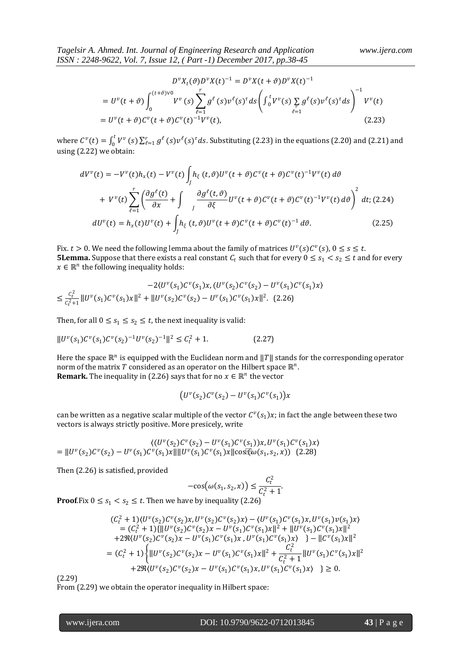$$
D^{\nu}X_t(\vartheta)D^{\nu}X(t)^{-1} = D^{\nu}X(t+\vartheta)D^{\nu}X(t)^{-1}
$$
  
= 
$$
U^{\nu}(t+\vartheta)\int_0^{(t+\vartheta)\nu_0} V^{\nu}(s)\sum_{\ell=1}^r g^{\ell}(s)\nu^{\ell}(s)^{\tau}ds \left(\int_0^t V^{\nu}(s)\sum_{\ell=1}^r g^{\ell}(s)\nu^{\ell}(s)^{\tau}ds\right)^{-1} V^{\nu}(t)
$$
  
= 
$$
U^{\nu}(t+\vartheta)C^{\nu}(t+\vartheta)C^{\nu}(t)^{-1}V^{\nu}(t),
$$
 (2.23)

where  $C^v(t) = \int_0^t V^v$  $\int_0^t V^{\nu}(s) \sum_{\ell=1}^r g^{\ell}(s) \nu^{\ell}(s)^{\tau} ds$ . Substituting (2.23) in the equations (2.20) and (2.21) and using (2.22) we obtain:

$$
dV^{v}(t) = -V^{v}(t)h_{x}(t) - V^{v}(t)\int_{J} h_{\xi}(t,\vartheta)U^{v}(t+\vartheta)C^{v}(t+\vartheta)C^{v}(t)^{-1}V^{v}(t) d\vartheta
$$
  
+ 
$$
V^{v}(t)\sum_{\ell=1}^{r} \left(\frac{\partial g^{\ell}(t)}{\partial x} + \int_{J} \frac{\partial g^{\ell}(t,\vartheta)}{\partial \xi}U^{v}(t+\vartheta)C^{v}(t+\vartheta)C^{v}(t)^{-1}V^{v}(t) d\vartheta\right)^{2} dt; (2.24)
$$
  

$$
dU^{v}(t) = h_{x}(t)U^{v}(t) + \int_{J} h_{\xi}(t,\vartheta)U^{v}(t+\vartheta)C^{v}(t+\vartheta)C^{v}(t)^{-1} d\vartheta.
$$
 (2.25)

Fix.  $t > 0$ . We need the following lemma about the family of matrices  $U^v(s)C^v(s)$ ,  $0 \le s \le t$ . **5Lemma.** Suppose that there exists a real constant  $C_t$  such that for every  $0 \leq s_1 < s_2 \leq t$  and for every  $x \in \mathbb{R}^n$  the following inequality holds:

$$
-2\langle U^{\nu}(s_1)C^{\nu}(s_1)x, (U^{\nu}(s_2)C^{\nu}(s_2) - U^{\nu}(s_1)C^{\nu}(s_1)x \rangle
$$
  
\n
$$
\leq \frac{c_\ell^2}{c_\ell^2 + 1} ||U^{\nu}(s_1)C^{\nu}(s_1)x||^2 + ||U^{\nu}(s_2)C^{\nu}(s_2) - U^{\nu}(s_1)C^{\nu}(s_1)x||^2. \tag{2.26}
$$

Then, for all  $0 \leq s_1 \leq s_2 \leq t$ , the next inequality is valid:

$$
||U^{\nu}(s_1)C^{\nu}(s_1)C^{\nu}(s_2)^{-1}U^{\nu}(s_2)^{-1}||^2 \le C_t^2 + 1.
$$
\n(2.27)

Here the space  $\mathbb{R}^n$  is equipped with the Euclidean norm and  $||T||$  stands for the corresponding operator norm of the matrix T considered as an operator on the Hilbert space  $\mathbb{R}^n$ . **Remark.** The inequality in (2.26) says that for no  $x \in \mathbb{R}^n$  the vector

$$
(U^{\nu}(s_2)\mathcal{C}^{\nu}(s_2)-U^{\nu}(s_1)\mathcal{C}^{\nu}(s_1))x
$$

can be written as a negative scalar multiple of the vector  $C^v(s_1)x$ ; in fact the angle between these two vectors is always strictly positive. More presicely, write

$$
\langle (U^{\nu}(s_2)C^{\nu}(s_2) - U^{\nu}(s_1)C^{\nu}(s_1))x, U^{\nu}(s_1)C^{\nu}(s_1)x \rangle
$$
  
=  $||U^{\nu}(s_2)C^{\nu}(s_2) - U^{\nu}(s_1)C^{\nu}(s_1)x||||U^{\nu}(s_1)C^{\nu}(s_1)x||\cos(\psi(s_1, s_2, x))$  (2.28)

Then (2.26) is satisfied, provided

$$
-\cos(\omega(s_1, s_2, x)) \leq \frac{C_t^2}{C_t^2 + 1}.
$$

**Proof.Fix**  $0 \leq s_1 < s_2 \leq t$ . Then we have by inequality (2.26)

$$
(C_t^2 + 1)(U^{\nu}(s_2)C^{\nu}(s_2)x, U^{\nu}(s_2)C^{\nu}(s_2)x) - \langle U^{\nu}(s_1)C^{\nu}(s_1)x, U^{\nu}(s_1)v(s_1)x \rangle
$$
  
\n
$$
= (C_t^2 + 1)\{||U^{\nu}(s_2)C^{\nu}(s_2)x - U^{\nu}(s_1)C^{\nu}(s_1)x||^2 + ||U^{\nu}(s_1)C^{\nu}(s_1)x||^2
$$
  
\n
$$
+ 2\Re\langle U^{\nu}(s_2)C^{\nu}(s_2)x - U^{\nu}(s_1)C^{\nu}(s_1)x, U^{\nu}(s_1)C^{\nu}(s_1)x \rangle \} - ||C^{\nu}(s_1)x||^2
$$
  
\n
$$
= (C_t^2 + 1)\{||U^{\nu}(s_2)C^{\nu}(s_2)x - U^{\nu}(s_1)C^{\nu}(s_1)x||^2 + \frac{C_t^2}{C_t^2 + 1}||U^{\nu}(s_1)C^{\nu}(s_1)x||^2
$$
  
\n
$$
+ 2\Re\langle U^{\nu}(s_2)C^{\nu}(s_2)x - U^{\nu}(s_1)C^{\nu}(s_1)x, U^{\nu}(s_1)C^{\nu}(s_1)x \rangle \} \ge 0.
$$

(2.29)

From (2.29) we obtain the operator inequality in Hilbert space: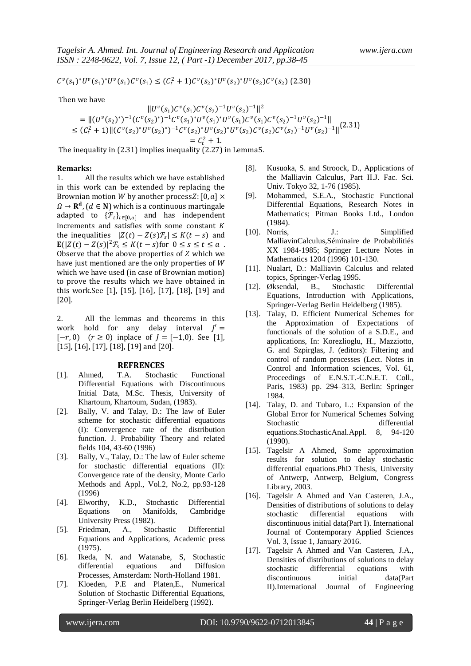$C^{\nu}(s_1)^*U^{\nu}(s_1)^*U^{\nu}(s_1)C^{\nu}(s_1) \leq (C_t^2 + 1)C^{\nu}(s_2)^*U^{\nu}(s_2)^*U^{\nu}(s_2)C^{\nu}(s_2)$  (2.30)

Then we have

$$
||U^{\nu}(s_1)C^{\nu}(s_1)C^{\nu}(s_2)^{-1}U^{\nu}(s_2)^{-1}||^2
$$
  
\n=
$$
||(U^{\nu}(s_2)^*)^{-1}(C^{\nu}(s_2)^*)^{-1}C^{\nu}(s_1)^*U^{\nu}(s_1)^*U^{\nu}(s_1)C^{\nu}(s_1)C^{\nu}(s_2)^{-1}U^{\nu}(s_2)^{-1}||
$$
  
\n
$$
\leq (C_t^2 + 1)||(C^{\nu}(s_2)^*U^{\nu}(s_2)^*)^{-1}C^{\nu}(s_2)^*U^{\nu}(s_2)^*U^{\nu}(s_2)C^{\nu}(s_2)C^{\nu}(s_2)^{-1}U^{\nu}(s_2)^{-1}||
$$
  
\n=
$$
C_t^2 + 1.
$$

The inequality in (2.31) implies inequality (2.27) in Lemma5.

### **Remarks:**

1. All the results which we have established in this work can be extended by replacing the Brownian motion *W* by another process*Z*:  $[0, a] \times$  $\Omega \to \mathbf{R}^d$ ,  $(d \in \mathbf{N})$  which is a continuous martingale adapted to  $\{\mathcal{F}_t\}_{t\in[0,a]}$  and has independent increments and satisfies with some constant  $K$ the inequalities  $|Z(t) - Z(s)\mathcal{F}_s| \le K(t-s)$  and  $\mathbf{E}(|Z(t) - Z(s)|^2 \mathcal{F}_s \leq K(t-s)$  for  $0 \leq s \leq t \leq a$ . Observe that the above properties of  $Z$  which we have just mentioned are the only properties of W which we have used (in case of Brownian motion) to prove the results which we have obtained in this work.See [1], [15], [16], [17], [18], [19] and [20].

2. All the lemmas and theorems in this work hold for any delay interval  $J' =$  $[-r, 0)$   $(r \ge 0)$  inplace of  $J = [-1, 0)$ . See [1], [15], [16], [17], [18], [19] and [20].

#### **REFRENCES**

- [1]. Ahmed, T.A. Stochastic Functional Differential Equations with Discontinuous Initial Data, M.Sc. Thesis, University of Khartoum, Khartoum, Sudan, (1983).
- [2]. Bally, V. and Talay, D.: The law of Euler scheme for stochastic differential equations (I): Convergence rate of the distribution function. J. Probability Theory and related fields 104, 43-60 (1996)
- [3]. Bally, V., Talay, D.: The law of Euler scheme for stochastic differential equations (II): Convergence rate of the density, Monte Carlo Methods and Appl., Vol.2, No.2, pp.93-128 (1996)
- [4]. Elworthy, K.D., Stochastic Differential Equations on Manifolds, Cambridge University Press (1982).
- [5]. Friedman, A., Stochastic Differential Equations and Applications, Academic press (1975).
- [6]. Ikeda, N. and Watanabe, S, Stochastic differential equations and Diffusion Processes, Amsterdam: North-Holland 1981.
- [7]. Kloeden, P.E and Platen,E., Numerical Solution of Stochastic Differential Equations, Springer-Verlag Berlin Heidelberg (1992).
- [8]. Kusuoka, S. and Stroock, D., Applications of the Malliavin Calculus, Part II.J. Fac. Sci. Univ. Tokyo 32, 1-76 (1985).
- [9]. Mohammed, S.E.A., Stochastic Functional Differential Equations, Research Notes in Mathematics; Pitman Books Ltd., London (1984).
- [10]. Norris, J.: Simplified MalliavinCalculus,Séminaire de Probabilitiés XX 1984-1985; Springer Lecture Notes in Mathematics 1204 (1996) 101-130.
- [11]. Nualart, D.: Malliavin Calculus and related topics, Springer-Verlag 1995.
- [12]. Øksendal, B., Stochastic Differential Equations, Introduction with Applications, Springer-Verlag Berlin Heidelberg (1985).
- [13]. Talay, D. Efficient Numerical Schemes for the Approximation of Expectations of functionals of the solution of a S.D.E., and applications, In: Korezlioglu, H., Mazziotto, G. and Szpirglas, J. (editors): Filtering and control of random processes (Lect. Notes in Control and Information sciences, Vol. 61, Proceedings of E.N.S.T.-C.N.E.T. Coll., Paris, 1983) pp. 294–313, Berlin: Springer 1984.
- [14]. Talay, D. and Tubaro, L.: Expansion of the Global Error for Numerical Schemes Solving Stochastic differential<br>equations.StochasticAnal.Appl. 8, 94-120 equations.StochasticAnal.Appl. (1990).
- [15]. Tagelsir A Ahmed, Some approximation results for solution to delay stochastic differential equations.PhD Thesis, University of Antwerp, Antwerp, Belgium, Congress Library, 2003.
- [16]. Tagelsir A Ahmed and Van Casteren, J.A., Densities of distributions of solutions to delay stochastic differential equations with discontinuous initial data(Part I). International Journal of Contemporary Applied Sciences Vol. 3, Issue 1, January 2016.
- [17]. Tagelsir A Ahmed and Van Casteren, J.A., Densities of distributions of solutions to delay stochastic differential equations with discontinuous initial data(Part II).International Journal of Engineering